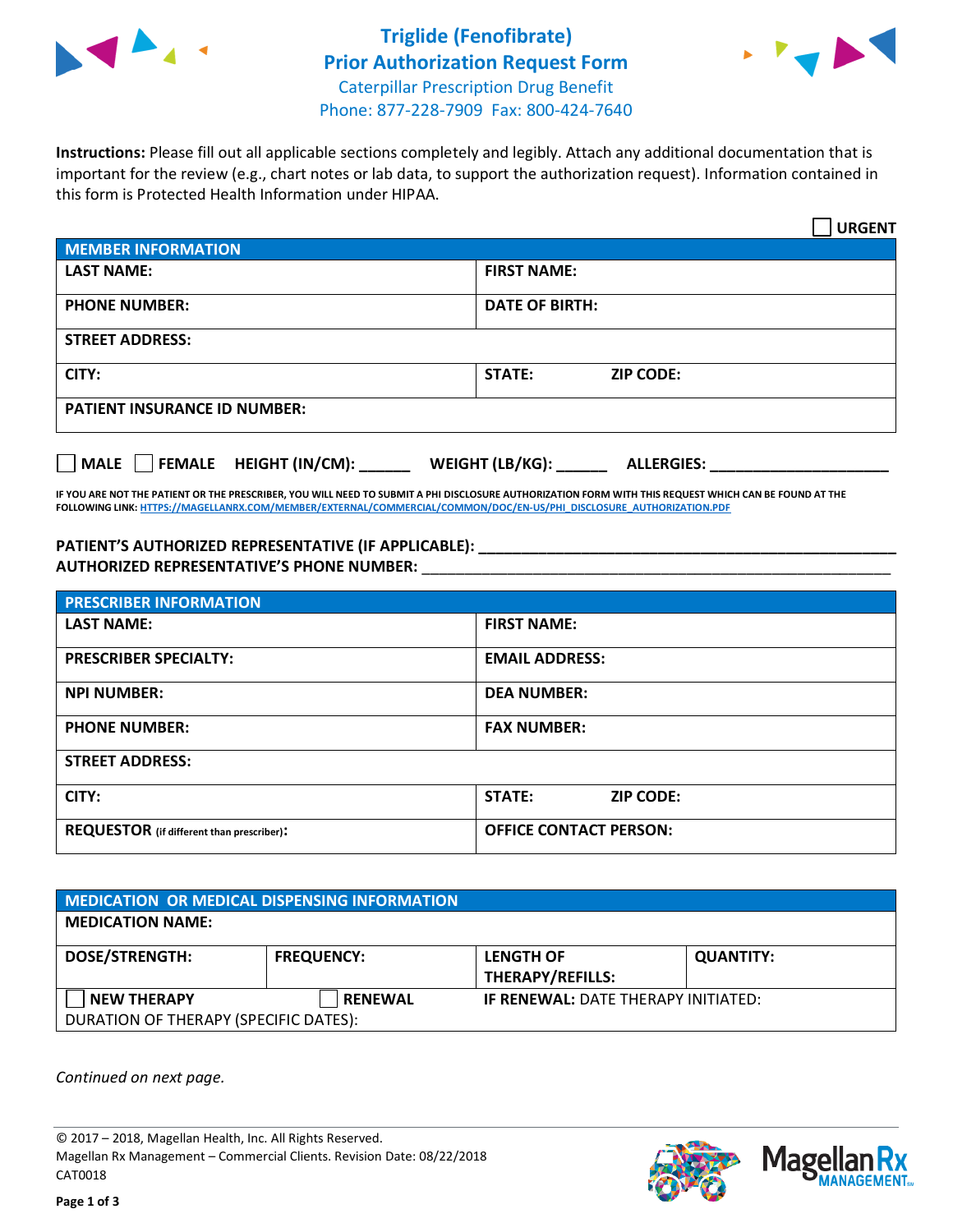



**Instructions:** Please fill out all applicable sections completely and legibly. Attach any additional documentation that is important for the review (e.g., chart notes or lab data, to support the authorization request). Information contained in this form is Protected Health Information under HIPAA.

|                                       | <b>URGENT</b>                        |  |  |
|---------------------------------------|--------------------------------------|--|--|
| <b>MEMBER INFORMATION</b>             |                                      |  |  |
| <b>LAST NAME:</b>                     | <b>FIRST NAME:</b>                   |  |  |
| <b>PHONE NUMBER:</b>                  | <b>DATE OF BIRTH:</b>                |  |  |
| <b>STREET ADDRESS:</b>                |                                      |  |  |
| CITY:                                 | <b>ZIP CODE:</b><br>STATE:           |  |  |
| <b>PATIENT INSURANCE ID NUMBER:</b>   |                                      |  |  |
| FEMALE HEIGHT (IN/CM):<br><b>MALE</b> | WEIGHT (LB/KG):<br><b>ALLERGIES:</b> |  |  |

**IF YOU ARE NOT THE PATIENT OR THE PRESCRIBER, YOU WILL NEED TO SUBMIT A PHI DISCLOSURE AUTHORIZATION FORM WITH THIS REQUEST WHICH CAN BE FOUND AT THE FOLLOWING LINK[: HTTPS://MAGELLANRX.COM/MEMBER/EXTERNAL/COMMERCIAL/COMMON/DOC/EN-US/PHI\\_DISCLOSURE\\_AUTHORIZATION.PDF](https://magellanrx.com/member/external/commercial/common/doc/en-us/PHI_Disclosure_Authorization.pdf)**

**PATIENT'S AUTHORIZED REPRESENTATIVE (IF APPLICABLE): \_\_\_\_\_\_\_\_\_\_\_\_\_\_\_\_\_\_\_\_\_\_\_\_\_\_\_\_\_\_\_\_\_\_\_\_\_\_\_\_\_\_\_\_\_\_\_\_\_ AUTHORIZED REPRESENTATIVE'S PHONE NUMBER:** \_\_\_\_\_\_\_\_\_\_\_\_\_\_\_\_\_\_\_\_\_\_\_\_\_\_\_\_\_\_\_\_\_\_\_\_\_\_\_\_\_\_\_\_\_\_\_\_\_\_\_\_\_\_\_

| <b>PRESCRIBER INFORMATION</b>             |                                   |  |  |  |
|-------------------------------------------|-----------------------------------|--|--|--|
| <b>LAST NAME:</b>                         | <b>FIRST NAME:</b>                |  |  |  |
| <b>PRESCRIBER SPECIALTY:</b>              | <b>EMAIL ADDRESS:</b>             |  |  |  |
| <b>NPI NUMBER:</b>                        | <b>DEA NUMBER:</b>                |  |  |  |
| <b>PHONE NUMBER:</b>                      | <b>FAX NUMBER:</b>                |  |  |  |
| <b>STREET ADDRESS:</b>                    |                                   |  |  |  |
| CITY:                                     | <b>STATE:</b><br><b>ZIP CODE:</b> |  |  |  |
| REQUESTOR (if different than prescriber): | <b>OFFICE CONTACT PERSON:</b>     |  |  |  |

| <b>MEDICATION OR MEDICAL DISPENSING INFORMATION</b>         |                   |                                             |                  |  |  |
|-------------------------------------------------------------|-------------------|---------------------------------------------|------------------|--|--|
| <b>MEDICATION NAME:</b>                                     |                   |                                             |                  |  |  |
| <b>DOSE/STRENGTH:</b>                                       | <b>FREQUENCY:</b> | <b>LENGTH OF</b><br><b>THERAPY/REFILLS:</b> | <b>QUANTITY:</b> |  |  |
| <b>NEW THERAPY</b><br>DURATION OF THERAPY (SPECIFIC DATES): | <b>RENEWAL</b>    | <b>IF RENEWAL: DATE THERAPY INITIATED:</b>  |                  |  |  |

*Continued on next page.*

© 2017 – 2018, Magellan Health, Inc. All Rights Reserved. Magellan Rx Management – Commercial Clients. Revision Date: 08/22/2018 CAT0018



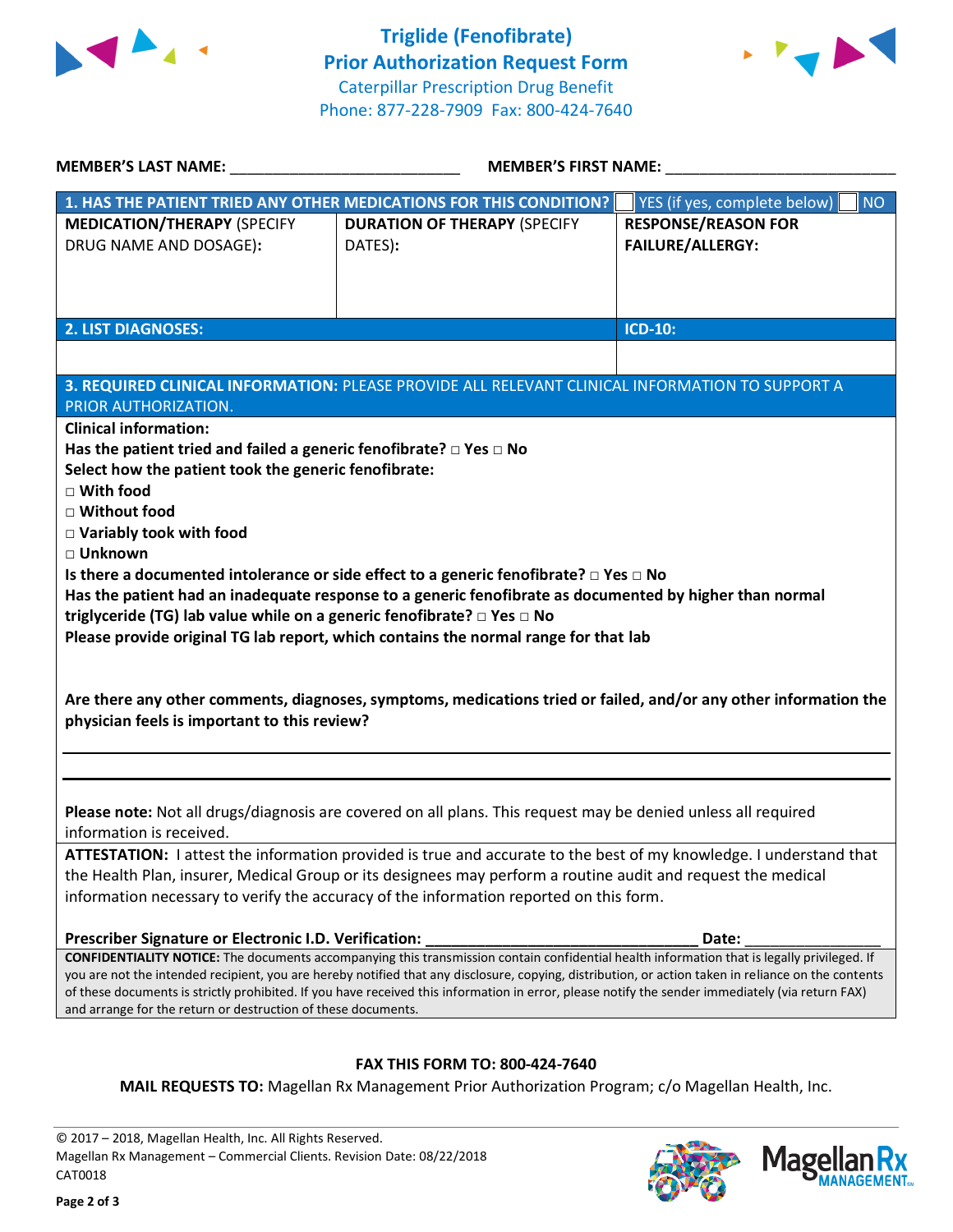



| <b>MEMBER'S LAST NAME:</b>                                                                                                                                                                                                                                                                              | <b>MEMBER'S FIRST NAME:</b>                                                                             |                                           |  |  |
|---------------------------------------------------------------------------------------------------------------------------------------------------------------------------------------------------------------------------------------------------------------------------------------------------------|---------------------------------------------------------------------------------------------------------|-------------------------------------------|--|--|
|                                                                                                                                                                                                                                                                                                         | 1. HAS THE PATIENT TRIED ANY OTHER MEDICATIONS FOR THIS CONDITION?                                      | YES (if yes, complete below)<br><b>NO</b> |  |  |
| <b>MEDICATION/THERAPY (SPECIFY</b>                                                                                                                                                                                                                                                                      | <b>DURATION OF THERAPY (SPECIFY</b>                                                                     | <b>RESPONSE/REASON FOR</b>                |  |  |
| DRUG NAME AND DOSAGE):                                                                                                                                                                                                                                                                                  | DATES):                                                                                                 | <b>FAILURE/ALLERGY:</b>                   |  |  |
|                                                                                                                                                                                                                                                                                                         |                                                                                                         |                                           |  |  |
|                                                                                                                                                                                                                                                                                                         |                                                                                                         |                                           |  |  |
| <b>2. LIST DIAGNOSES:</b>                                                                                                                                                                                                                                                                               |                                                                                                         | <b>ICD-10:</b>                            |  |  |
|                                                                                                                                                                                                                                                                                                         |                                                                                                         |                                           |  |  |
|                                                                                                                                                                                                                                                                                                         | 3. REQUIRED CLINICAL INFORMATION: PLEASE PROVIDE ALL RELEVANT CLINICAL INFORMATION TO SUPPORT A         |                                           |  |  |
| PRIOR AUTHORIZATION.                                                                                                                                                                                                                                                                                    |                                                                                                         |                                           |  |  |
| <b>Clinical information:</b>                                                                                                                                                                                                                                                                            |                                                                                                         |                                           |  |  |
| Has the patient tried and failed a generic fenofibrate? $\Box$ Yes $\Box$ No                                                                                                                                                                                                                            |                                                                                                         |                                           |  |  |
| Select how the patient took the generic fenofibrate:                                                                                                                                                                                                                                                    |                                                                                                         |                                           |  |  |
| $\Box$ With food                                                                                                                                                                                                                                                                                        |                                                                                                         |                                           |  |  |
| □ Without food                                                                                                                                                                                                                                                                                          |                                                                                                         |                                           |  |  |
| $\Box$ Variably took with food<br>□ Unknown                                                                                                                                                                                                                                                             |                                                                                                         |                                           |  |  |
|                                                                                                                                                                                                                                                                                                         | Is there a documented intolerance or side effect to a generic fenofibrate? $\Box$ Yes $\Box$ No         |                                           |  |  |
|                                                                                                                                                                                                                                                                                                         | Has the patient had an inadequate response to a generic fenofibrate as documented by higher than normal |                                           |  |  |
| triglyceride (TG) lab value while on a generic fenofibrate? □ Yes □ No                                                                                                                                                                                                                                  |                                                                                                         |                                           |  |  |
|                                                                                                                                                                                                                                                                                                         | Please provide original TG lab report, which contains the normal range for that lab                     |                                           |  |  |
|                                                                                                                                                                                                                                                                                                         |                                                                                                         |                                           |  |  |
| Are there any other comments, diagnoses, symptoms, medications tried or failed, and/or any other information the<br>physician feels is important to this review?                                                                                                                                        |                                                                                                         |                                           |  |  |
|                                                                                                                                                                                                                                                                                                         |                                                                                                         |                                           |  |  |
| Please note: Not all drugs/diagnosis are covered on all plans. This request may be denied unless all required<br>information is received.                                                                                                                                                               |                                                                                                         |                                           |  |  |
| ATTESTATION: I attest the information provided is true and accurate to the best of my knowledge. I understand that                                                                                                                                                                                      |                                                                                                         |                                           |  |  |
| the Health Plan, insurer, Medical Group or its designees may perform a routine audit and request the medical                                                                                                                                                                                            |                                                                                                         |                                           |  |  |
| information necessary to verify the accuracy of the information reported on this form.                                                                                                                                                                                                                  |                                                                                                         |                                           |  |  |
| Prescriber Signature or Electronic I.D. Verification:                                                                                                                                                                                                                                                   |                                                                                                         | Date:                                     |  |  |
| CONFIDENTIALITY NOTICE: The documents accompanying this transmission contain confidential health information that is legally privileged. If                                                                                                                                                             |                                                                                                         |                                           |  |  |
| you are not the intended recipient, you are hereby notified that any disclosure, copying, distribution, or action taken in reliance on the contents<br>of these documents is strictly prohibited. If you have received this information in error, please notify the sender immediately (via return FAX) |                                                                                                         |                                           |  |  |
| and arrange for the return or destruction of these documents.                                                                                                                                                                                                                                           |                                                                                                         |                                           |  |  |
|                                                                                                                                                                                                                                                                                                         |                                                                                                         |                                           |  |  |

## **FAX THIS FORM TO: 800-424-7640**

**MAIL REQUESTS TO:** Magellan Rx Management Prior Authorization Program; c/o Magellan Health, Inc.

© 2017 – 2018, Magellan Health, Inc. All Rights Reserved. Magellan Rx Management – Commercial Clients. Revision Date: 08/22/2018 CAT0018